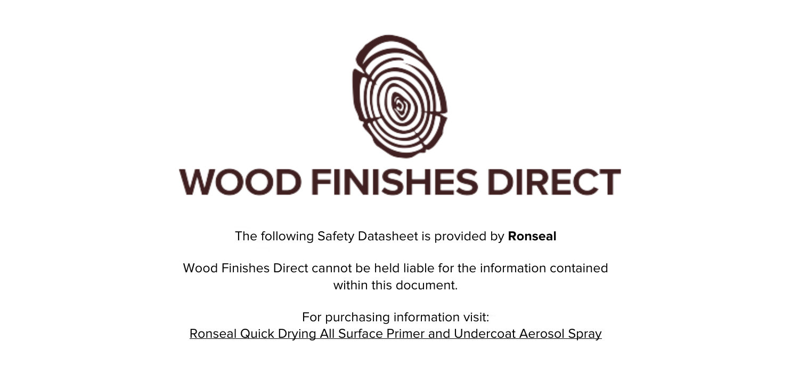

The following Safety Datasheet is provided by **Ronseal**

Wood Finishes Direct cannot be held liable for the information contained within this document.

For purchasing information visit: [Ronseal Quick Drying All Surface Primer and Undercoat Aerosol Spray](https://www.wood-finishes-direct.com/product/ronseal-quick-drying-all-surface-primer-and-undercoat-aerosol)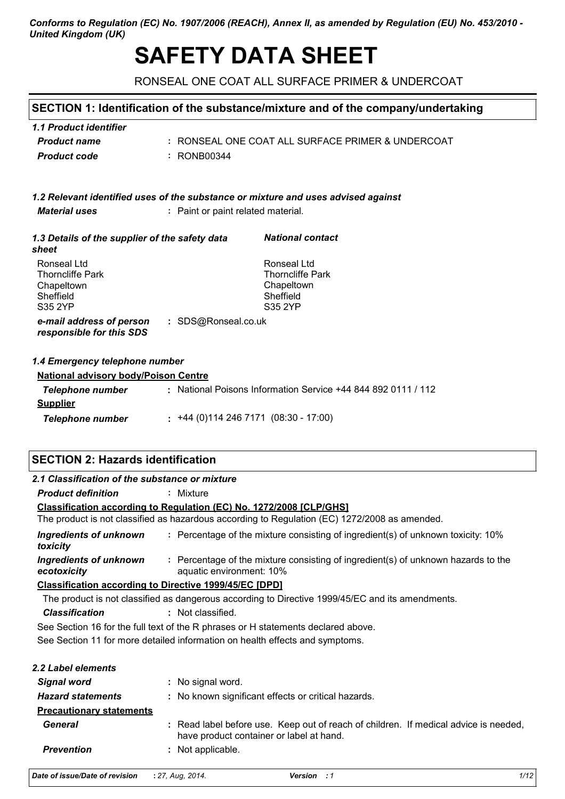## Conforms to Regulation (EC) No. 1907/2006 (REACH), Annex II, as amended by Regulation (EU) No. 453/2010 -**United Kingdom (UK)**

# **SAFETY DATA SHEET**

RONSEAL ONE COAT ALL SURFACE PRIMER & UNDERCOAT

# SECTION 1: Identification of the substance/mixture and of the company/undertaking

| 1.1 Product identifier |                                                   |
|------------------------|---------------------------------------------------|
| <b>Product name</b>    | : RONSEAL ONE COAT ALL SURFACE PRIMER & UNDERCOAT |
| <b>Product code</b>    | : RONB00344                                       |

|                      | 1.2 Relevant identified uses of the substance or mixture and uses advised against |
|----------------------|-----------------------------------------------------------------------------------|
| <i>Material uses</i> | : Paint or paint related material.                                                |

| 1.3 Details of the supplier of the safety data<br>sheet                      | <b>National contact</b>                                                      |  |
|------------------------------------------------------------------------------|------------------------------------------------------------------------------|--|
| Ronseal Ltd<br><b>Thorncliffe Park</b><br>Chapeltown<br>Sheffield<br>S35 2YP | Ronseal Ltd<br><b>Thorncliffe Park</b><br>Chapeltown<br>Sheffield<br>S35 2YP |  |
| : SDS@Ronseal.co.uk<br>e-mail address of person<br>responsible for this SDS  |                                                                              |  |

## 1.4 Emergency telephone number

| <b>National advisory body/Poison Centre</b> |  |                                                           |  |  |
|---------------------------------------------|--|-----------------------------------------------------------|--|--|
| Telephone number                            |  | : National Poisons Information Service +44 844 892 0111 / |  |  |
| <b>Supplier</b>                             |  |                                                           |  |  |
| Telephone number                            |  | $: +44(0)1142467171(08:30 - 17:00)$                       |  |  |

## **SECTION 2: Hazards identification**

| 2.1 Classification of the substance or mixture |                                                                                                                                  |
|------------------------------------------------|----------------------------------------------------------------------------------------------------------------------------------|
| <b>Product definition</b>                      | : Mixture                                                                                                                        |
|                                                | <b>Classification according to Regulation (EC) No. 1272/2008 [CLP/GHS]</b>                                                       |
|                                                | The product is not classified as hazardous according to Regulation (EC) 1272/2008 as amended.                                    |
| <b>Ingredients of unknown</b><br>toxicity      | : Percentage of the mixture consisting of ingredient(s) of unknown toxicity: 10%                                                 |
| <b>Ingredients of unknown</b><br>ecotoxicity   | : Percentage of the mixture consisting of ingredient(s) of unknown hazards to the<br>aquatic environment: 10%                    |
|                                                | <b>Classification according to Directive 1999/45/EC [DPD]</b>                                                                    |
|                                                | The product is not classified as dangerous according to Directive 1999/45/EC and its amendments.                                 |
| <b>Classification</b>                          | : Not classified.                                                                                                                |
|                                                | See Section 16 for the full text of the R phrases or H statements declared above.                                                |
|                                                | See Section 11 for more detailed information on health effects and symptoms.                                                     |
| 2.2 Label elements                             |                                                                                                                                  |
| <b>Signal word</b>                             | : No signal word.                                                                                                                |
| <b>Hazard statements</b>                       | : No known significant effects or critical hazards.                                                                              |
| <b>Precautionary statements</b>                |                                                                                                                                  |
| <b>General</b>                                 | : Read label before use. Keep out of reach of children. If medical advice is needed,<br>have product container or label at hand. |
| <b>Prevention</b>                              | : Not applicable.                                                                                                                |

| Date of issue/Date of revision | : 27, Aug, 2014. |
|--------------------------------|------------------|
|--------------------------------|------------------|

112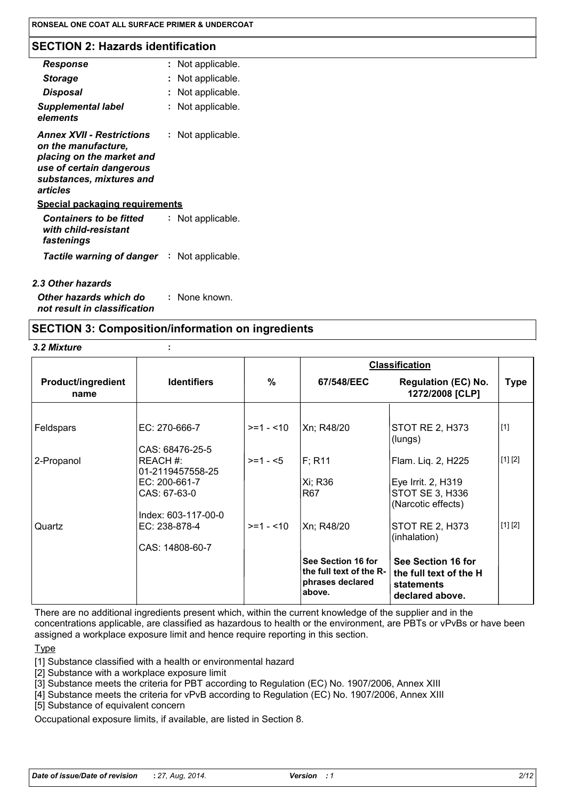## **SECTION 2: Hazards identification**

| Response                                                                                                                                                 | Not applicable. |
|----------------------------------------------------------------------------------------------------------------------------------------------------------|-----------------|
| <b>Storage</b>                                                                                                                                           | Not applicable. |
| Disposal                                                                                                                                                 | Not applicable. |
| <b>Supplemental label</b><br>elements                                                                                                                    | Not applicable. |
| <b>Annex XVII - Restrictions</b><br>on the manufacture.<br>placing on the market and<br>use of certain dangerous<br>substances, mixtures and<br>articles | Not applicable. |
| <b>Special packaging requirements</b>                                                                                                                    |                 |
| <b>Containers to be fitted</b><br>with child-resistant<br>fastenings                                                                                     | Not applicable. |
| <b>Tactile warning of danger : Not applicable.</b>                                                                                                       |                 |
| 2.3 Other hazards                                                                                                                                        |                 |

Other hazards which do : None known. not result in classification

## **SECTION 3: Composition/information on ingredients**

3.2 Mixture

|                                   |                                   |            |                                                                             | <b>Classification</b>                                                                |             |
|-----------------------------------|-----------------------------------|------------|-----------------------------------------------------------------------------|--------------------------------------------------------------------------------------|-------------|
| <b>Product/ingredient</b><br>name | <b>Identifiers</b>                | %          | 67/548/EEC                                                                  | <b>Regulation (EC) No.</b><br>1272/2008 [CLP]                                        | <b>Type</b> |
|                                   |                                   |            |                                                                             |                                                                                      |             |
| Feldspars                         | EC: 270-666-7                     | $>=1 - 10$ | Xn; R48/20                                                                  | STOT RE 2, H373<br>(lungs)                                                           | $[1]$       |
|                                   | CAS: 68476-25-5                   |            |                                                                             |                                                                                      |             |
| 2-Propanol                        | REACH #:                          | $>= 1 - 5$ | F; R11                                                                      | Flam. Liq. 2, H225                                                                   | [1] [2]     |
|                                   | 01-2119457558-25<br>EC: 200-661-7 |            | Xi; R36                                                                     | Eye Irrit. 2, H319                                                                   |             |
|                                   | CAS: 67-63-0                      |            | R67                                                                         | STOT SE 3, H336<br>(Narcotic effects)                                                |             |
|                                   | Index: 603-117-00-0               |            |                                                                             |                                                                                      |             |
| Quartz                            | EC: 238-878-4                     | $>=1 - 10$ | Xn; R48/20                                                                  | <b>STOT RE 2, H373</b><br>(inhalation)                                               | [1] [2]     |
|                                   | CAS: 14808-60-7                   |            |                                                                             |                                                                                      |             |
|                                   |                                   |            | See Section 16 for<br>the full text of the R-<br>phrases declared<br>above. | See Section 16 for<br>the full text of the H<br><b>statements</b><br>declared above. |             |

There are no additional ingredients present which, within the current knowledge of the supplier and in the concentrations applicable, are classified as hazardous to health or the environment, are PBTs or vPvBs or have been assigned a workplace exposure limit and hence require reporting in this section.

**Type** 

[1] Substance classified with a health or environmental hazard

- [2] Substance with a workplace exposure limit
- [3] Substance meets the criteria for PBT according to Regulation (EC) No. 1907/2006, Annex XIII
- [4] Substance meets the criteria for vPvB according to Regulation (EC) No. 1907/2006, Annex XIII

[5] Substance of equivalent concern

Occupational exposure limits, if available, are listed in Section 8.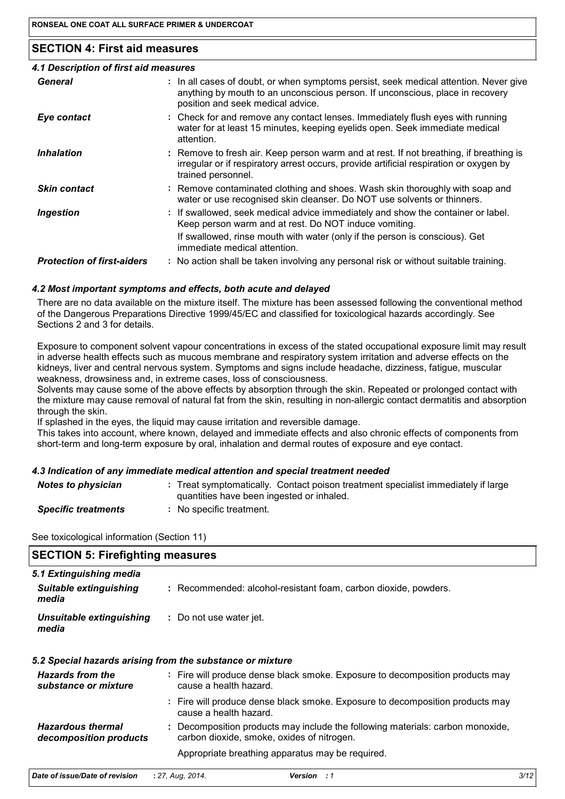## **SECTION 4: First aid measures**

| 4.1 Description of first aid measures |                                                                                                                                                                                                             |
|---------------------------------------|-------------------------------------------------------------------------------------------------------------------------------------------------------------------------------------------------------------|
| General                               | : In all cases of doubt, or when symptoms persist, seek medical attention. Never give<br>anything by mouth to an unconscious person. If unconscious, place in recovery<br>position and seek medical advice. |
| Eye contact                           | : Check for and remove any contact lenses. Immediately flush eyes with running<br>water for at least 15 minutes, keeping eyelids open. Seek immediate medical<br>attention.                                 |
| <b>Inhalation</b>                     | : Remove to fresh air. Keep person warm and at rest. If not breathing, if breathing is<br>irregular or if respiratory arrest occurs, provide artificial respiration or oxygen by<br>trained personnel.      |
| <b>Skin contact</b>                   | : Remove contaminated clothing and shoes. Wash skin thoroughly with soap and<br>water or use recognised skin cleanser. Do NOT use solvents or thinners.                                                     |
| <b>Ingestion</b>                      | : If swallowed, seek medical advice immediately and show the container or label.<br>Keep person warm and at rest. Do NOT induce vomiting.                                                                   |
|                                       | If swallowed, rinse mouth with water (only if the person is conscious). Get<br>immediate medical attention.                                                                                                 |
| <b>Protection of first-aiders</b>     | : No action shall be taken involving any personal risk or without suitable training.                                                                                                                        |
|                                       |                                                                                                                                                                                                             |

## 4.2 Most important symptoms and effects, both acute and delayed

There are no data available on the mixture itself. The mixture has been assessed following the conventional method of the Dangerous Preparations Directive 1999/45/EC and classified for toxicological hazards accordingly. See Sections 2 and 3 for details.

Exposure to component solvent vapour concentrations in excess of the stated occupational exposure limit may result in adverse health effects such as mucous membrane and respiratory system irritation and adverse effects on the kidneys, liver and central nervous system. Symptoms and signs include headache, dizziness, fatigue, muscular weakness, drowsiness and, in extreme cases, loss of consciousness.

Solvents may cause some of the above effects by absorption through the skin. Repeated or prolonged contact with the mixture may cause removal of natural fat from the skin, resulting in non-allergic contact dermatitis and absorption through the skin.

If splashed in the eyes, the liquid may cause irritation and reversible damage.

This takes into account, where known, delayed and immediate effects and also chronic effects of components from short-term and long-term exposure by oral, inhalation and dermal routes of exposure and eve contact.

## 4.3 Indication of any immediate medical attention and special treatment needed

| <b>Notes to physician</b>  | : Treat symptomatically. Contact poison treatment specialist immediately if large<br>quantities have been ingested or inhaled. |
|----------------------------|--------------------------------------------------------------------------------------------------------------------------------|
| <b>Specific treatments</b> | : No specific treatment.                                                                                                       |

See toxicological information (Section 11)

| <b>SECTION 5: Firefighting measures</b> |                                                                 |  |
|-----------------------------------------|-----------------------------------------------------------------|--|
| 5.1 Extinguishing media                 |                                                                 |  |
| Suitable extinguishing<br>media         | : Recommended: alcohol-resistant foam, carbon dioxide, powders. |  |
| Unsuitable extinguishing<br>media       | : Do not use water jet.                                         |  |

## 5.2 Special hazards arising from the substance or mixture

| <b>Hazards from the</b><br>substance or mixture    | : Fire will produce dense black smoke. Exposure to decomposition products may<br>cause a health hazard.                      |
|----------------------------------------------------|------------------------------------------------------------------------------------------------------------------------------|
|                                                    | : Fire will produce dense black smoke. Exposure to decomposition products may<br>cause a health hazard.                      |
| <b>Hazardous thermal</b><br>decomposition products | : Decomposition products may include the following materials: carbon monoxide,<br>carbon dioxide, smoke, oxides of nitrogen. |
|                                                    | Appropriate breathing apparatus may be required.                                                                             |

| Date of issue/Date of revision | : 27, Aug, 2014. | <b>Version</b> : 1 |
|--------------------------------|------------------|--------------------|
|                                |                  |                    |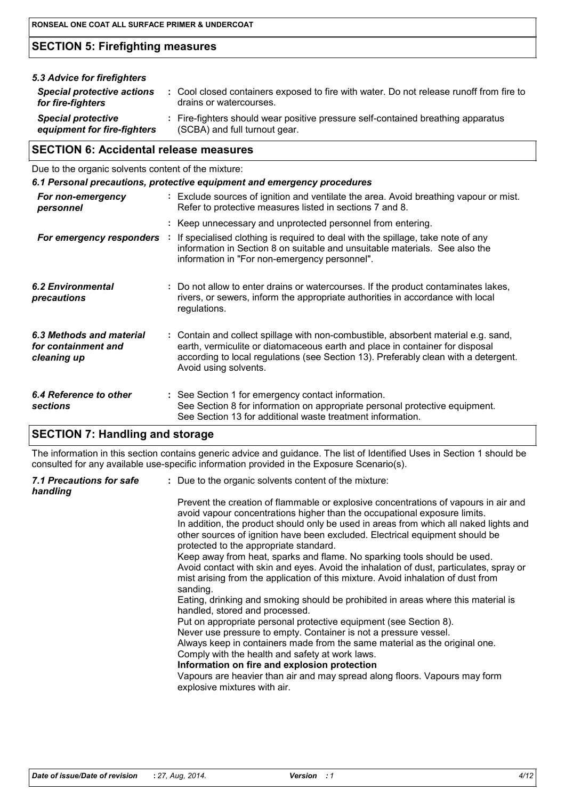# **SECTION 5: Firefighting measures**

| 5.3 Advice for firefighters                              |                                                                                                                    |
|----------------------------------------------------------|--------------------------------------------------------------------------------------------------------------------|
| <b>Special protective actions</b><br>for fire-fighters   | : Cool closed containers exposed to fire with water. Do not release runoff from fire to<br>drains or watercourses. |
| <b>Special protective</b><br>equipment for fire-fighters | : Fire-fighters should wear positive pressure self-contained breathing apparatus<br>(SCBA) and full turnout gear.  |

# **SECTION 6: Accidental release measures**

Due to the organic solvents content of the mixture:

## 6.1 Personal precautions, protective equipment and emergency procedures

| For non-emergency<br>personnel                                 | : Exclude sources of ignition and ventilate the area. Avoid breathing vapour or mist.<br>Refer to protective measures listed in sections 7 and 8.                                                                                                                                  |
|----------------------------------------------------------------|------------------------------------------------------------------------------------------------------------------------------------------------------------------------------------------------------------------------------------------------------------------------------------|
| For emergency responders                                       | : Keep unnecessary and unprotected personnel from entering.<br>: If specialised clothing is required to deal with the spillage, take note of any<br>information in Section 8 on suitable and unsuitable materials. See also the<br>information in "For non-emergency personnel".   |
| <b>6.2 Environmental</b><br>precautions                        | : Do not allow to enter drains or watercourses. If the product contaminates lakes,<br>rivers, or sewers, inform the appropriate authorities in accordance with local<br>regulations.                                                                                               |
| 6.3 Methods and material<br>for containment and<br>cleaning up | : Contain and collect spillage with non-combustible, absorbent material e.g. sand,<br>earth, vermiculite or diatomaceous earth and place in container for disposal<br>according to local regulations (see Section 13). Preferably clean with a detergent.<br>Avoid using solvents. |
| 6.4 Reference to other<br><b>sections</b>                      | : See Section 1 for emergency contact information.<br>See Section 8 for information on appropriate personal protective equipment.<br>See Section 13 for additional waste treatment information.                                                                                    |

# **SECTION 7: Handling and storage**

The information in this section contains generic advice and guidance. The list of Identified Uses in Section 1 should be consulted for any available use-specific information provided in the Exposure Scenario(s).

| 7.1 Precautions for safe<br>handling | : Due to the organic solvents content of the mixture:                                                                                                                                                                                                                                                                                                                               |
|--------------------------------------|-------------------------------------------------------------------------------------------------------------------------------------------------------------------------------------------------------------------------------------------------------------------------------------------------------------------------------------------------------------------------------------|
|                                      | Prevent the creation of flammable or explosive concentrations of vapours in air and<br>avoid vapour concentrations higher than the occupational exposure limits.<br>In addition, the product should only be used in areas from which all naked lights and<br>other sources of ignition have been excluded. Electrical equipment should be<br>protected to the appropriate standard. |
|                                      | Keep away from heat, sparks and flame. No sparking tools should be used.<br>Avoid contact with skin and eyes. Avoid the inhalation of dust, particulates, spray or<br>mist arising from the application of this mixture. Avoid inhalation of dust from<br>sanding.                                                                                                                  |
|                                      | Eating, drinking and smoking should be prohibited in areas where this material is<br>handled, stored and processed.                                                                                                                                                                                                                                                                 |
|                                      | Put on appropriate personal protective equipment (see Section 8).                                                                                                                                                                                                                                                                                                                   |
|                                      | Never use pressure to empty. Container is not a pressure vessel.                                                                                                                                                                                                                                                                                                                    |
|                                      | Always keep in containers made from the same material as the original one.<br>Comply with the health and safety at work laws.                                                                                                                                                                                                                                                       |
|                                      | Information on fire and explosion protection                                                                                                                                                                                                                                                                                                                                        |
|                                      | Vapours are heavier than air and may spread along floors. Vapours may form<br>explosive mixtures with air.                                                                                                                                                                                                                                                                          |
|                                      |                                                                                                                                                                                                                                                                                                                                                                                     |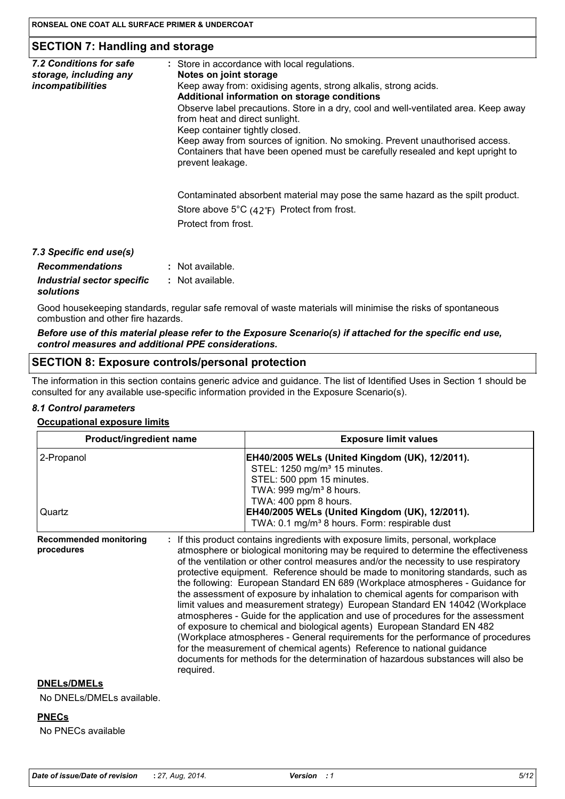## **SECTION 7: Handling and storage**

| 7.2 Conditions for safe<br>storage, including any<br><i>incompatibilities</i>   | : Store in accordance with local regulations.<br>Notes on joint storage<br>Keep away from: oxidising agents, strong alkalis, strong acids.<br>Additional information on storage conditions<br>Observe label precautions. Store in a dry, cool and well-ventilated area. Keep away<br>from heat and direct sunlight.<br>Keep container tightly closed.<br>Keep away from sources of ignition. No smoking. Prevent unauthorised access.<br>Containers that have been opened must be carefully resealed and kept upright to<br>prevent leakage. |
|---------------------------------------------------------------------------------|----------------------------------------------------------------------------------------------------------------------------------------------------------------------------------------------------------------------------------------------------------------------------------------------------------------------------------------------------------------------------------------------------------------------------------------------------------------------------------------------------------------------------------------------|
|                                                                                 | Contaminated absorbent material may pose the same hazard as the spilt product.<br>Store above $5^{\circ}C$ (42 $^{\circ}F$ ) Protect from frost.<br>Protect from frost.                                                                                                                                                                                                                                                                                                                                                                      |
| 7.3 Specific end use(s)<br><b>Recommendations</b><br>Industrial sector specific | $:$ Not available.<br>: Not available.                                                                                                                                                                                                                                                                                                                                                                                                                                                                                                       |

Good housekeeping standards, regular safe removal of waste materials will minimise the risks of spontaneous combustion and other fire hazards.

Before use of this material please refer to the Exposure Scenario(s) if attached for the specific end use, control measures and additional PPE considerations.

#### **SECTION 8: Exposure controls/personal protection**

The information in this section contains generic advice and guidance. The list of Identified Uses in Section 1 should be consulted for any available use-specific information provided in the Exposure Scenario(s).

#### 8.1 Control parameters

solutions

#### **Occupational exposure limits**

| <b>Product/ingredient name</b>                           | <b>Exposure limit values</b>                                                                                                                                                                                                                                                                                                                                                                                                                                                                                                                                                                                                                                                                                                                                                                                                                                                                                                                                                                                          |  |  |
|----------------------------------------------------------|-----------------------------------------------------------------------------------------------------------------------------------------------------------------------------------------------------------------------------------------------------------------------------------------------------------------------------------------------------------------------------------------------------------------------------------------------------------------------------------------------------------------------------------------------------------------------------------------------------------------------------------------------------------------------------------------------------------------------------------------------------------------------------------------------------------------------------------------------------------------------------------------------------------------------------------------------------------------------------------------------------------------------|--|--|
| 2-Propanol                                               | EH40/2005 WELs (United Kingdom (UK), 12/2011).<br>STEL: 1250 mg/m <sup>3</sup> 15 minutes.<br>STEL: 500 ppm 15 minutes.<br>TWA: 999 mg/m <sup>3</sup> 8 hours.<br>TWA: 400 ppm 8 hours.                                                                                                                                                                                                                                                                                                                                                                                                                                                                                                                                                                                                                                                                                                                                                                                                                               |  |  |
| Quartz                                                   | EH40/2005 WELs (United Kingdom (UK), 12/2011).<br>TWA: 0.1 mg/m <sup>3</sup> 8 hours. Form: respirable dust                                                                                                                                                                                                                                                                                                                                                                                                                                                                                                                                                                                                                                                                                                                                                                                                                                                                                                           |  |  |
| <b>Recommended monitoring</b><br>procedures<br>required. | : If this product contains ingredients with exposure limits, personal, workplace<br>atmosphere or biological monitoring may be required to determine the effectiveness<br>of the ventilation or other control measures and/or the necessity to use respiratory<br>protective equipment. Reference should be made to monitoring standards, such as<br>the following: European Standard EN 689 (Workplace atmospheres - Guidance for<br>the assessment of exposure by inhalation to chemical agents for comparison with<br>limit values and measurement strategy) European Standard EN 14042 (Workplace<br>atmospheres - Guide for the application and use of procedures for the assessment<br>of exposure to chemical and biological agents) European Standard EN 482<br>(Workplace atmospheres - General requirements for the performance of procedures<br>for the measurement of chemical agents) Reference to national guidance<br>documents for methods for the determination of hazardous substances will also be |  |  |

## **DNELs/DMELs**

No DNELs/DMELs available.

#### **PNECs**

No PNECs available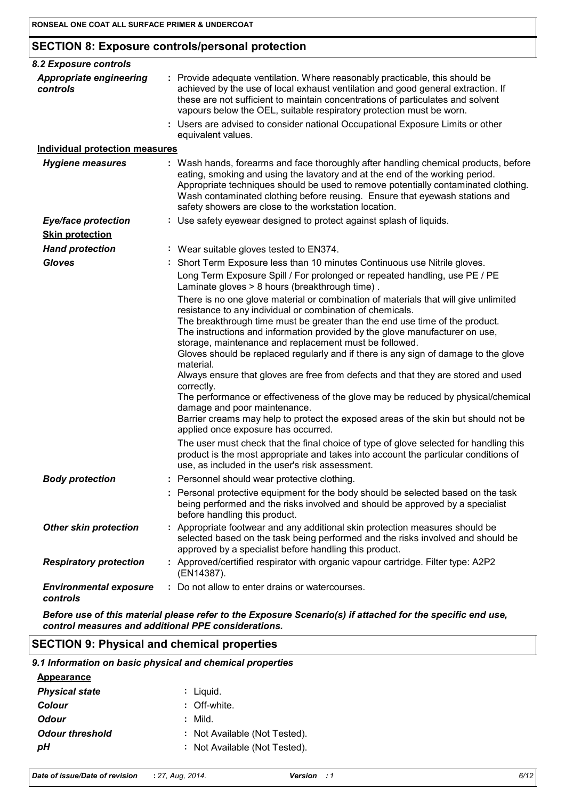## **SECTION 8: Exposure controls/personal protection**

| 8.2 Exposure controls                      |                                                                                                                                                                                                                                                                                                                                                                                                                                                                                                                                                                                                                                                                                                                                                                                                                                                                                                                                                                                                                                                                      |
|--------------------------------------------|----------------------------------------------------------------------------------------------------------------------------------------------------------------------------------------------------------------------------------------------------------------------------------------------------------------------------------------------------------------------------------------------------------------------------------------------------------------------------------------------------------------------------------------------------------------------------------------------------------------------------------------------------------------------------------------------------------------------------------------------------------------------------------------------------------------------------------------------------------------------------------------------------------------------------------------------------------------------------------------------------------------------------------------------------------------------|
| <b>Appropriate engineering</b><br>controls | : Provide adequate ventilation. Where reasonably practicable, this should be<br>achieved by the use of local exhaust ventilation and good general extraction. If<br>these are not sufficient to maintain concentrations of particulates and solvent<br>vapours below the OEL, suitable respiratory protection must be worn.                                                                                                                                                                                                                                                                                                                                                                                                                                                                                                                                                                                                                                                                                                                                          |
|                                            | : Users are advised to consider national Occupational Exposure Limits or other<br>equivalent values.                                                                                                                                                                                                                                                                                                                                                                                                                                                                                                                                                                                                                                                                                                                                                                                                                                                                                                                                                                 |
| <b>Individual protection measures</b>      |                                                                                                                                                                                                                                                                                                                                                                                                                                                                                                                                                                                                                                                                                                                                                                                                                                                                                                                                                                                                                                                                      |
| <b>Hygiene measures</b>                    | : Wash hands, forearms and face thoroughly after handling chemical products, before<br>eating, smoking and using the lavatory and at the end of the working period.<br>Appropriate techniques should be used to remove potentially contaminated clothing.<br>Wash contaminated clothing before reusing. Ensure that eyewash stations and<br>safety showers are close to the workstation location.                                                                                                                                                                                                                                                                                                                                                                                                                                                                                                                                                                                                                                                                    |
| <b>Eye/face protection</b>                 | : Use safety eyewear designed to protect against splash of liquids.                                                                                                                                                                                                                                                                                                                                                                                                                                                                                                                                                                                                                                                                                                                                                                                                                                                                                                                                                                                                  |
| <b>Skin protection</b>                     |                                                                                                                                                                                                                                                                                                                                                                                                                                                                                                                                                                                                                                                                                                                                                                                                                                                                                                                                                                                                                                                                      |
| <b>Hand protection</b>                     | : Wear suitable gloves tested to EN374.                                                                                                                                                                                                                                                                                                                                                                                                                                                                                                                                                                                                                                                                                                                                                                                                                                                                                                                                                                                                                              |
| <b>Gloves</b>                              | : Short Term Exposure less than 10 minutes Continuous use Nitrile gloves.                                                                                                                                                                                                                                                                                                                                                                                                                                                                                                                                                                                                                                                                                                                                                                                                                                                                                                                                                                                            |
|                                            | Long Term Exposure Spill / For prolonged or repeated handling, use PE / PE<br>Laminate gloves > 8 hours (breakthrough time).                                                                                                                                                                                                                                                                                                                                                                                                                                                                                                                                                                                                                                                                                                                                                                                                                                                                                                                                         |
|                                            | There is no one glove material or combination of materials that will give unlimited<br>resistance to any individual or combination of chemicals.<br>The breakthrough time must be greater than the end use time of the product.<br>The instructions and information provided by the glove manufacturer on use,<br>storage, maintenance and replacement must be followed.<br>Gloves should be replaced regularly and if there is any sign of damage to the glove<br>material.<br>Always ensure that gloves are free from defects and that they are stored and used<br>correctly.<br>The performance or effectiveness of the glove may be reduced by physical/chemical<br>damage and poor maintenance.<br>Barrier creams may help to protect the exposed areas of the skin but should not be<br>applied once exposure has occurred.<br>The user must check that the final choice of type of glove selected for handling this<br>product is the most appropriate and takes into account the particular conditions of<br>use, as included in the user's risk assessment. |
| <b>Body protection</b>                     | Personnel should wear protective clothing.                                                                                                                                                                                                                                                                                                                                                                                                                                                                                                                                                                                                                                                                                                                                                                                                                                                                                                                                                                                                                           |
|                                            | : Personal protective equipment for the body should be selected based on the task<br>being performed and the risks involved and should be approved by a specialist<br>before handling this product.                                                                                                                                                                                                                                                                                                                                                                                                                                                                                                                                                                                                                                                                                                                                                                                                                                                                  |
| <b>Other skin protection</b>               | : Appropriate footwear and any additional skin protection measures should be<br>selected based on the task being performed and the risks involved and should be<br>approved by a specialist before handling this product.                                                                                                                                                                                                                                                                                                                                                                                                                                                                                                                                                                                                                                                                                                                                                                                                                                            |
| <b>Respiratory protection</b>              | : Approved/certified respirator with organic vapour cartridge. Filter type: A2P2<br>(EN14387).                                                                                                                                                                                                                                                                                                                                                                                                                                                                                                                                                                                                                                                                                                                                                                                                                                                                                                                                                                       |
| <b>Environmental exposure</b><br>controls  | : Do not allow to enter drains or watercourses.                                                                                                                                                                                                                                                                                                                                                                                                                                                                                                                                                                                                                                                                                                                                                                                                                                                                                                                                                                                                                      |
|                                            |                                                                                                                                                                                                                                                                                                                                                                                                                                                                                                                                                                                                                                                                                                                                                                                                                                                                                                                                                                                                                                                                      |

Before use of this material please refer to the Exposure Scenario(s) if attached for the specific end use, control measures and additional PPE considerations.

## **SECTION 9: Physical and chemical properties**

|                        | 9.1 Information on basic physical and chemical properties |
|------------------------|-----------------------------------------------------------|
| <b>Appearance</b>      |                                                           |
| <b>Physical state</b>  | : Liguid.                                                 |
| Colour                 | : Off-white.                                              |
| <b>Odour</b>           | $:$ Mild.                                                 |
| <b>Odour threshold</b> | : Not Available (Not Tested).                             |
| pН                     | : Not Available (Not Tested).                             |
|                        |                                                           |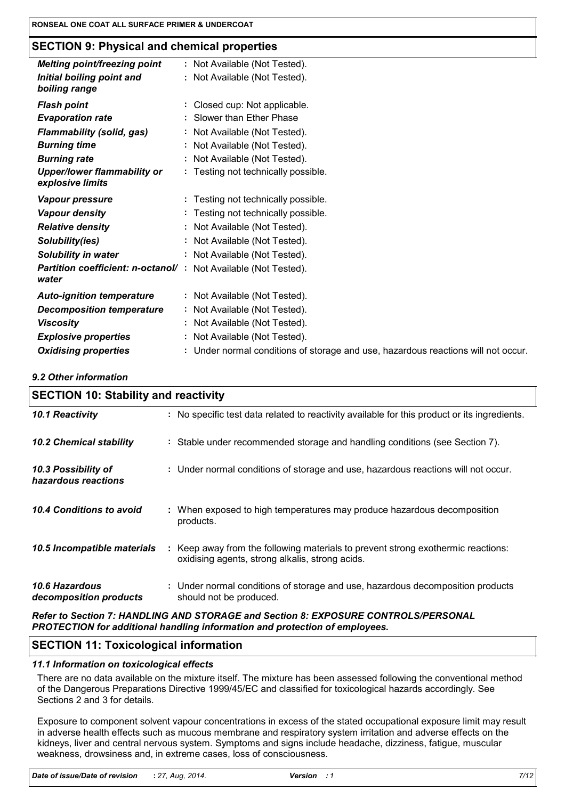## **SECTION 9: Physical and chemical properties**

| <b>Melting point/freezing point</b>                                     | : Not Available (Not Tested).                                                     |
|-------------------------------------------------------------------------|-----------------------------------------------------------------------------------|
| Initial boiling point and<br>boiling range                              | : Not Available (Not Tested).                                                     |
| <b>Flash point</b>                                                      | : Closed cup: Not applicable.                                                     |
| <b>Evaporation rate</b>                                                 | : Slower than Ether Phase                                                         |
| <b>Flammability (solid, gas)</b>                                        | : Not Available (Not Tested).                                                     |
| <b>Burning time</b>                                                     | : Not Available (Not Tested).                                                     |
| <b>Burning rate</b>                                                     | : Not Available (Not Tested).                                                     |
| <b>Upper/lower flammability or</b><br>explosive limits                  | : Testing not technically possible.                                               |
| <b>Vapour pressure</b>                                                  | : Testing not technically possible.                                               |
| <b>Vapour density</b>                                                   | : Testing not technically possible.                                               |
| <b>Relative density</b>                                                 | : Not Available (Not Tested).                                                     |
| Solubility(ies)                                                         | : Not Available (Not Tested).                                                     |
| <b>Solubility in water</b>                                              | : Not Available (Not Tested).                                                     |
| Partition coefficient: n-octanol/: Not Available (Not Tested).<br>water |                                                                                   |
| <b>Auto-ignition temperature</b>                                        | : Not Available (Not Tested).                                                     |
| <b>Decomposition temperature</b>                                        | : Not Available (Not Tested).                                                     |
| <b>Viscosity</b>                                                        | : Not Available (Not Tested).                                                     |
| <b>Explosive properties</b>                                             | : Not Available (Not Tested).                                                     |
| <b>Oxidising properties</b>                                             | : Under normal conditions of storage and use, hazardous reactions will not occur. |

#### 9.2 Other information

| <b>SECTION 10: Stability and reactivity</b>     |  |                                                                                                                                     |
|-------------------------------------------------|--|-------------------------------------------------------------------------------------------------------------------------------------|
| 10.1 Reactivity                                 |  | : No specific test data related to reactivity available for this product or its ingredients.                                        |
| 10.2 Chemical stability                         |  | : Stable under recommended storage and handling conditions (see Section 7).                                                         |
| 10.3 Possibility of<br>hazardous reactions      |  | : Under normal conditions of storage and use, hazardous reactions will not occur.                                                   |
| 10.4 Conditions to avoid                        |  | : When exposed to high temperatures may produce hazardous decomposition<br>products.                                                |
| 10.5 Incompatible materials                     |  | : Keep away from the following materials to prevent strong exothermic reactions:<br>oxidising agents, strong alkalis, strong acids. |
| <b>10.6 Hazardous</b><br>decomposition products |  | : Under normal conditions of storage and use, hazardous decomposition products<br>should not be produced.                           |

### Refer to Section 7: HANDLING AND STORAGE and Section 8: EXPOSURE CONTROLS/PERSONAL PROTECTION for additional handling information and protection of employees.

#### **SECTION 11: Toxicological information**

#### 11.1 Information on toxicological effects

There are no data available on the mixture itself. The mixture has been assessed following the conventional method of the Dangerous Preparations Directive 1999/45/EC and classified for toxicological hazards accordingly. See Sections 2 and 3 for details.

Exposure to component solvent vapour concentrations in excess of the stated occupational exposure limit may result in adverse health effects such as mucous membrane and respiratory system irritation and adverse effects on the kidneys, liver and central nervous system. Symptoms and signs include headache, dizziness, fatigue, muscular weakness, drowsiness and, in extreme cases, loss of consciousness.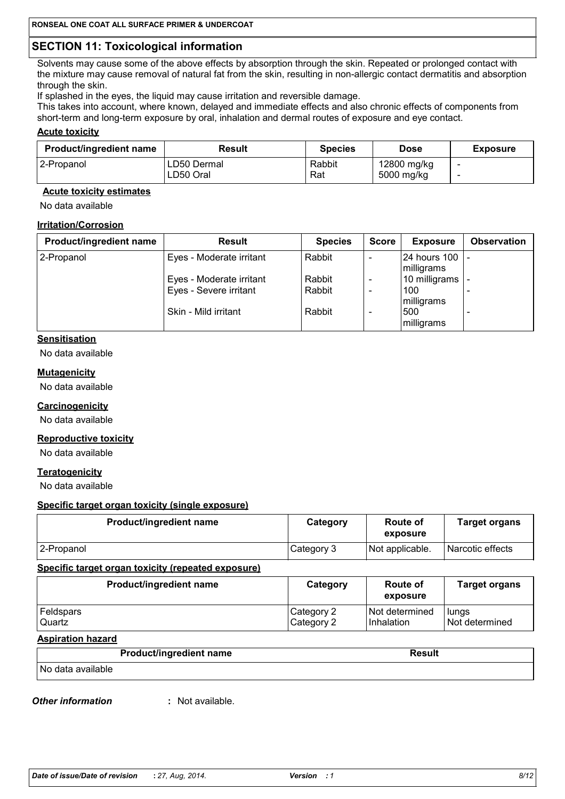# **SECTION 11: Toxicological information**

Solvents may cause some of the above effects by absorption through the skin. Repeated or prolonged contact with the mixture may cause removal of natural fat from the skin, resulting in non-allergic contact dermatitis and absorption through the skin.

If splashed in the eyes, the liquid may cause irritation and reversible damage.

This takes into account, where known, delayed and immediate effects and also chronic effects of components from short-term and long-term exposure by oral, inhalation and dermal routes of exposure and eye contact.

#### **Acute toxicity**

| <b>Product/ingredient name</b> | Result      | <b>Species</b> | Dose        | <b>Exposure</b> |
|--------------------------------|-------------|----------------|-------------|-----------------|
| 2-Propanol                     | LD50 Dermal | Rabbit         | 12800 mg/kg | -               |
|                                | LD50 Oral   | Rat            | 5000 mg/kg  | -               |

## **Acute toxicity estimates**

No data available

## **Irritation/Corrosion**

| <b>Product/ingredient name</b> | <b>Result</b>            | <b>Species</b>   | <b>Score</b> | <b>Exposure</b>                   | <b>Observation</b> |
|--------------------------------|--------------------------|------------------|--------------|-----------------------------------|--------------------|
| 2-Propanol                     | Eyes - Moderate irritant | Rabbit           |              | <b>24 hours 100</b><br>milligrams |                    |
|                                | Eyes - Moderate irritant | Rabbit<br>Rabbit |              | 10 milligrams<br>100              |                    |
|                                | Eyes - Severe irritant   |                  |              | milligrams                        |                    |
|                                | Skin - Mild irritant     | Rabbit           |              | 500<br>milligrams                 |                    |

## **Sensitisation**

No data available

## **Mutagenicity**

No data available

#### Carcinogenicity

No data available

## **Reproductive toxicity**

No data available

## **Teratogenicity**

No data available

#### Specific target organ toxicity (single exposure)

| <b>Product/ingredient name</b> | Category   | Route of<br>exposure | <b>Target organs</b> |
|--------------------------------|------------|----------------------|----------------------|
| 2-Propanol                     | Category 3 | Not applicable.      | l Narcotic effects   |

#### Specific target organ toxicity (repeated exposure)

| Product/ingredient name | Category     | Route of<br>exposure | <b>Target organs</b> |
|-------------------------|--------------|----------------------|----------------------|
| <b>Feldspars</b>        | l Category 2 | Not determined       | lungs                |
| Quartz                  | Category 2   | <b>Inhalation</b>    | Not determined       |

#### **Aspiration hazard**

|                   | <b>Product/ingredient name</b> | Result |
|-------------------|--------------------------------|--------|
| No data available |                                |        |

#### **Other information**

: Not available.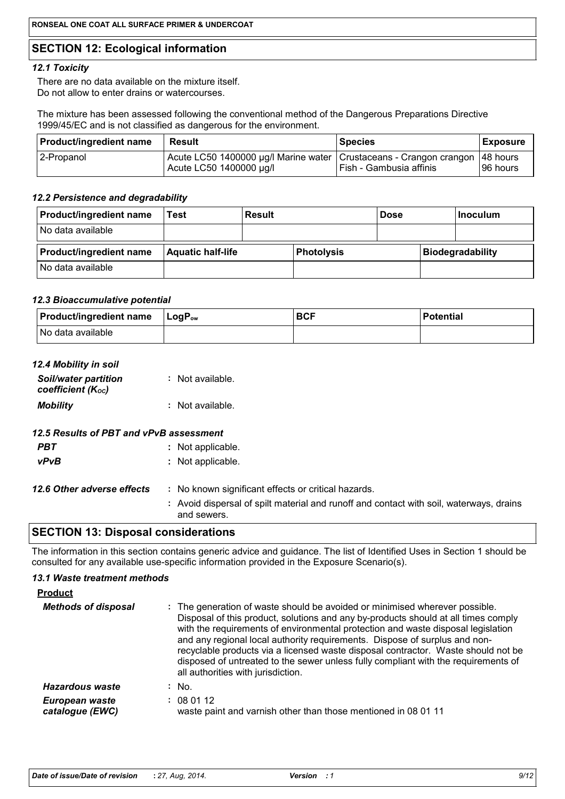## **SECTION 12: Ecological information**

## 12.1 Toxicity

There are no data available on the mixture itself. Do not allow to enter drains or watercourses.

The mixture has been assessed following the conventional method of the Dangerous Preparations Directive 1999/45/EC and is not classified as dangerous for the environment.

| <b>Product/ingredient name</b> | Result                                                                                                     | <b>Species</b>          | <b>Exposure</b> |
|--------------------------------|------------------------------------------------------------------------------------------------------------|-------------------------|-----------------|
| 2-Propanol                     | Acute LC50 1400000 µg/l Marine water   Crustaceans - Crangon crangon   48 hours<br>Acute LC50 1400000 µg/l | Fish - Gambusia affinis | 196 hours       |

#### 12.2 Persistence and degradability

| <b>Product/ingredient name</b> | Test                     | Result |                   | <b>Dose</b> | Inoculum                |
|--------------------------------|--------------------------|--------|-------------------|-------------|-------------------------|
| No data available              |                          |        |                   |             |                         |
|                                |                          |        |                   |             |                         |
| <b>Product/ingredient name</b> | <b>Aquatic half-life</b> |        | <b>Photolysis</b> |             | <b>Biodegradability</b> |

#### 12.3 Bioaccumulative potential

| $ $ Product/ingredient name $ $ LogP <sub>ow</sub> | <b>BCF</b> | <b>Potential</b> |
|----------------------------------------------------|------------|------------------|
| No data available                                  |            |                  |

| 12.4 Mobility in soil                                         |                                                                                                        |
|---------------------------------------------------------------|--------------------------------------------------------------------------------------------------------|
| <b>Soil/water partition</b><br>coefficient (K <sub>oc</sub> ) | $:$ Not available.                                                                                     |
| <b>Mobility</b>                                               | : Not available.                                                                                       |
| 12.5 Results of PBT and vPvB assessment                       |                                                                                                        |
| <b>PBT</b>                                                    | : Not applicable.                                                                                      |
| <b>vPvB</b>                                                   | : Not applicable.                                                                                      |
| 12.6 Other adverse effects                                    | : No known significant effects or critical hazards.                                                    |
|                                                               | : Avoid dispersal of spilt material and runoff and contact with soil, waterways, drains<br>and sewers. |

## **SECTION 13: Disposal considerations**

The information in this section contains generic advice and guidance. The list of Identified Uses in Section 1 should be consulted for any available use-specific information provided in the Exposure Scenario(s).

#### 13.1 Waste treatment methods

| <b>Product</b>                    |                                                                                                                                                                                                                                                                                                                                                                                                                                                                                                                                                      |
|-----------------------------------|------------------------------------------------------------------------------------------------------------------------------------------------------------------------------------------------------------------------------------------------------------------------------------------------------------------------------------------------------------------------------------------------------------------------------------------------------------------------------------------------------------------------------------------------------|
| <b>Methods of disposal</b>        | : The generation of waste should be avoided or minimised wherever possible.<br>Disposal of this product, solutions and any by-products should at all times comply<br>with the requirements of environmental protection and waste disposal legislation<br>and any regional local authority requirements. Dispose of surplus and non-<br>recyclable products via a licensed waste disposal contractor. Waste should not be<br>disposed of untreated to the sewer unless fully compliant with the requirements of<br>all authorities with jurisdiction. |
| Hazardous waste                   | $:$ No.                                                                                                                                                                                                                                                                                                                                                                                                                                                                                                                                              |
| European waste<br>catalogue (EWC) | : 080112<br>waste paint and varnish other than those mentioned in 08 01 11                                                                                                                                                                                                                                                                                                                                                                                                                                                                           |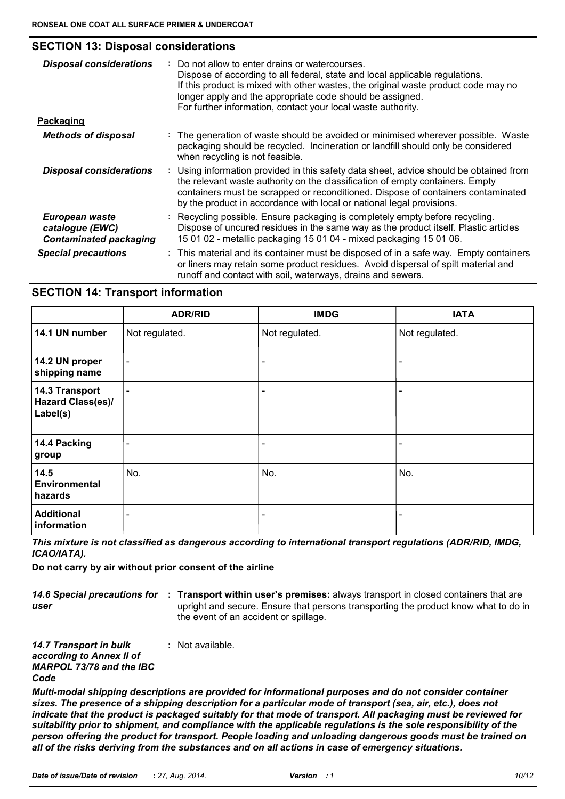## **SECTION 13: Disposal considerations**

| <b>Disposal considerations</b>                                     | Do not allow to enter drains or watercourses.<br>Dispose of according to all federal, state and local applicable regulations.<br>If this product is mixed with other wastes, the original waste product code may no<br>longer apply and the appropriate code should be assigned.<br>For further information, contact your local waste authority. |
|--------------------------------------------------------------------|--------------------------------------------------------------------------------------------------------------------------------------------------------------------------------------------------------------------------------------------------------------------------------------------------------------------------------------------------|
| <u>Packaging</u>                                                   |                                                                                                                                                                                                                                                                                                                                                  |
| <b>Methods of disposal</b>                                         | : The generation of waste should be avoided or minimised wherever possible. Waste<br>packaging should be recycled. Incineration or landfill should only be considered<br>when recycling is not feasible.                                                                                                                                         |
| <b>Disposal considerations</b>                                     | : Using information provided in this safety data sheet, advice should be obtained from<br>the relevant waste authority on the classification of empty containers. Empty<br>containers must be scrapped or reconditioned. Dispose of containers contaminated<br>by the product in accordance with local or national legal provisions.             |
| European waste<br>catalogue (EWC)<br><b>Contaminated packaging</b> | : Recycling possible. Ensure packaging is completely empty before recycling.<br>Dispose of uncured residues in the same way as the product itself. Plastic articles<br>15 01 02 - metallic packaging 15 01 04 - mixed packaging 15 01 06.                                                                                                        |
| <b>Special precautions</b>                                         | : This material and its container must be disposed of in a safe way. Empty containers<br>or liners may retain some product residues. Avoid dispersal of spilt material and<br>runoff and contact with soil, waterways, drains and sewers.                                                                                                        |
|                                                                    |                                                                                                                                                                                                                                                                                                                                                  |

## **SECTION 14: Transport information**

|                                                        | <b>ADR/RID</b>           | <b>IMDG</b>              | <b>IATA</b>    |
|--------------------------------------------------------|--------------------------|--------------------------|----------------|
| 14.1 UN number                                         | Not regulated.           | Not regulated.           | Not regulated. |
| 14.2 UN proper<br>shipping name                        | $\overline{\phantom{a}}$ | $\overline{\phantom{a}}$ |                |
| 14.3 Transport<br><b>Hazard Class(es)/</b><br>Label(s) | $\overline{\phantom{a}}$ | $\overline{\phantom{0}}$ |                |
| 14.4 Packing<br>group                                  | $\overline{\phantom{a}}$ | $\overline{\phantom{0}}$ |                |
| 14.5<br><b>Environmental</b><br>hazards                | No.                      | No.                      | No.            |
| <b>Additional</b><br>information                       |                          | $\overline{\phantom{a}}$ |                |

This mixture is not classified as dangerous according to international transport regulations (ADR/RID, IMDG, ICAO/IATA).

#### Do not carry by air without prior consent of the airline

14.6 Special precautions for : Transport within user's premises: always transport in closed containers that are upright and secure. Ensure that persons transporting the product know what to do in user the event of an accident or spillage.

| <b>14.7 Transport in bulk</b>   | : Not available. |
|---------------------------------|------------------|
| according to Annex II of        |                  |
| <b>MARPOL 73/78 and the IBC</b> |                  |
| Code                            |                  |
|                                 |                  |

Multi-modal shipping descriptions are provided for informational purposes and do not consider container sizes. The presence of a shipping description for a particular mode of transport (sea, air, etc.), does not indicate that the product is packaged suitably for that mode of transport. All packaging must be reviewed for suitability prior to shipment, and compliance with the applicable regulations is the sole responsibility of the person offering the product for transport. People loading and unloading dangerous goods must be trained on all of the risks deriving from the substances and on all actions in case of emergency situations.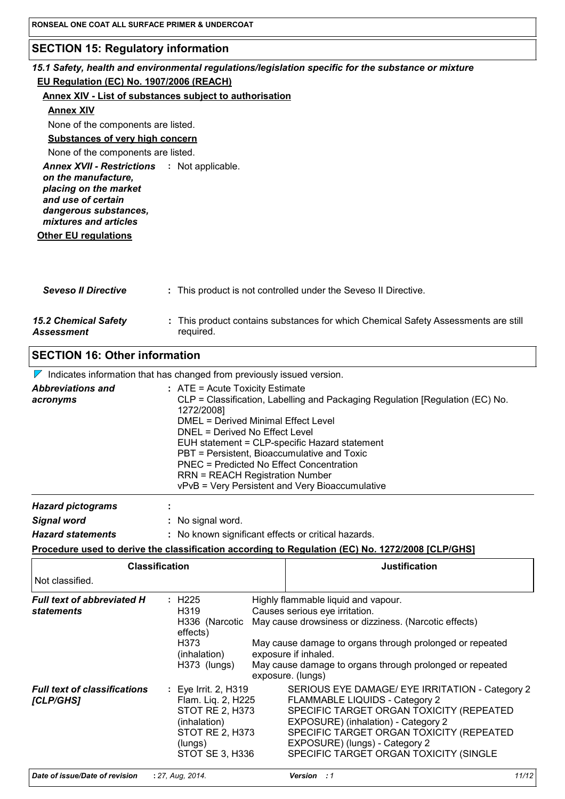## **SECTION 15: Regulatory information**

## 15.1 Safety, health and environmental regulations/legislation specific for the substance or mixture EU Regulation (EC) No. 1907/2006 (REACH)

#### Annex XIV - List of substances subject to authorisation

#### **Annex XIV**

None of the components are listed.

## **Substances of very high concern**

None of the components are listed.

Annex XVII - Restrictions : Not applicable. on the manufacture, placing on the market and use of certain dangerous substances, mixtures and articles

## **Other EU regulations**

| <b>Seveso II Directive</b>                | : This product is not controlled under the Seveso II Directive.                                 |
|-------------------------------------------|-------------------------------------------------------------------------------------------------|
| <b>15.2 Chemical Safety</b><br>Assessment | : This product contains substances for which Chemical Safety Assessments are still<br>required. |

## **SECTION 16: Other information**

 $\nabla$  Indicates information that has changed from previously issued version.

| EUH statement = CLP-specific Hazard statement<br>PBT = Persistent, Bioaccumulative and Toxic<br>PNEC = Predicted No Effect Concentration<br><b>RRN = REACH Registration Number</b><br>vPvB = Very Persistent and Very Bioaccumulative | <b>Abbreviations and</b><br>acronyms | $:$ ATE = Acute Toxicity Estimate<br>CLP = Classification, Labelling and Packaging Regulation [Regulation (EC) No.<br>1272/2008]<br>DMEL = Derived Minimal Effect Level<br>DNEL = Derived No Effect Level |  |
|---------------------------------------------------------------------------------------------------------------------------------------------------------------------------------------------------------------------------------------|--------------------------------------|-----------------------------------------------------------------------------------------------------------------------------------------------------------------------------------------------------------|--|
|---------------------------------------------------------------------------------------------------------------------------------------------------------------------------------------------------------------------------------------|--------------------------------------|-----------------------------------------------------------------------------------------------------------------------------------------------------------------------------------------------------------|--|

| <b>Hazard statements</b> | : No known significant effects or critical hazards. |  |  |
|--------------------------|-----------------------------------------------------|--|--|
| Signal word              | : No signal word.                                   |  |  |
| <b>Hazard pictograms</b> |                                                     |  |  |

#### Procedure used to derive the classification according to Regulation (EC) No. 1272/2008 [CLP/GHS]

| <b>Classification</b>                                  |                                                                                                                                       | <b>Justification</b>                                                                                                                                                                                                                                                                                |       |
|--------------------------------------------------------|---------------------------------------------------------------------------------------------------------------------------------------|-----------------------------------------------------------------------------------------------------------------------------------------------------------------------------------------------------------------------------------------------------------------------------------------------------|-------|
| Not classified.                                        |                                                                                                                                       |                                                                                                                                                                                                                                                                                                     |       |
| <b>Full text of abbreviated H</b><br><b>statements</b> | : H225<br>H <sub>3</sub> 19<br>H336 (Narcotic<br>effects)<br>H373<br>(inhalation)<br>H373 (lungs)                                     | Highly flammable liquid and vapour.<br>Causes serious eye irritation.<br>May cause drowsiness or dizziness. (Narcotic effects)<br>May cause damage to organs through prolonged or repeated<br>exposure if inhaled.<br>May cause damage to organs through prolonged or repeated<br>exposure. (lungs) |       |
| <b>Full text of classifications</b><br>[CLP/GHS]       | : Eye Irrit. 2, H319<br>Flam. Liq. 2, H225<br><b>STOT RE 2, H373</b><br>(inhalation)<br>STOT RE 2, H373<br>(lungs)<br>STOT SE 3, H336 | SERIOUS EYE DAMAGE/ EYE IRRITATION - Category 2<br>FLAMMABLE LIQUIDS - Category 2<br>SPECIFIC TARGET ORGAN TOXICITY (REPEATED<br>EXPOSURE) (inhalation) - Category 2<br>SPECIFIC TARGET ORGAN TOXICITY (REPEATED<br>EXPOSURE) (lungs) - Category 2<br>SPECIFIC TARGET ORGAN TOXICITY (SINGLE        |       |
| Date of issue/Date of revision                         | : 27, Aug, 2014.                                                                                                                      | <b>Version</b> : 1                                                                                                                                                                                                                                                                                  | 11/12 |